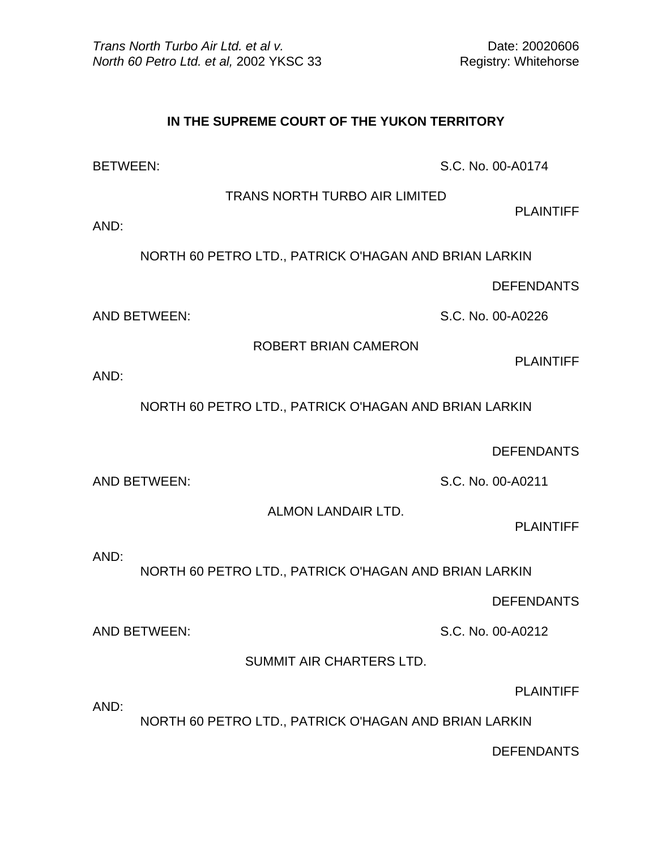## **IN THE SUPREME COURT OF THE YUKON TERRITORY**

BETWEEN: S.C. No. 00-A0174

TRANS NORTH TURBO AIR LIMITED

PLAINTIFF

AND:

NORTH 60 PETRO LTD., PATRICK O'HAGAN AND BRIAN LARKIN

DEFENDANTS

AND BETWEEN: S.C. No. 00-A0226

ROBERT BRIAN CAMERON

PLAINTIFF

AND:

NORTH 60 PETRO LTD., PATRICK O'HAGAN AND BRIAN LARKIN

DEFENDANTS

AND BETWEEN: S.C. No. 00-A0211

ALMON LANDAIR LTD.

PLAINTIFF

AND:

NORTH 60 PETRO LTD., PATRICK O'HAGAN AND BRIAN LARKIN

DEFENDANTS

AND BETWEEN: S.C. No. 00-A0212

SUMMIT AIR CHARTERS LTD.

PLAINTIFF

AND:

NORTH 60 PETRO LTD., PATRICK O'HAGAN AND BRIAN LARKIN

DEFENDANTS